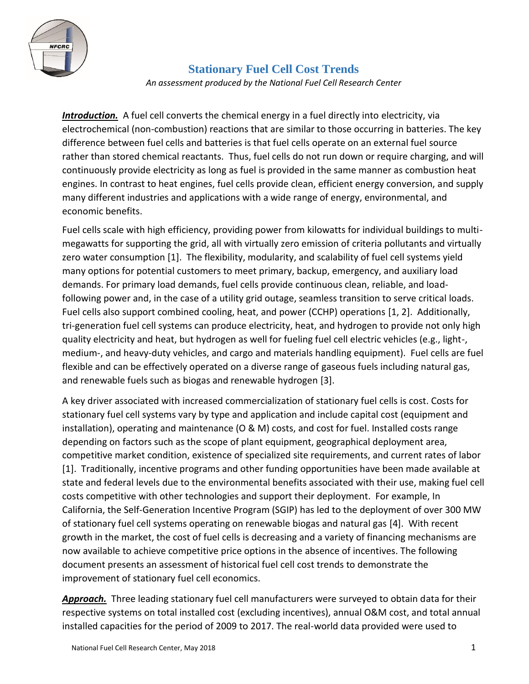

## **Stationary Fuel Cell Cost Trends**

*An assessment produced by the National Fuel Cell Research Center*

*Introduction.* A fuel cell converts the chemical energy in a fuel directly into electricity, via electrochemical (non-combustion) reactions that are similar to those occurring in batteries. The key difference between fuel cells and batteries is that fuel cells operate on an external fuel source rather than stored chemical reactants. Thus, fuel cells do not run down or require charging, and will continuously provide electricity as long as fuel is provided in the same manner as combustion heat engines. In contrast to heat engines, fuel cells provide clean, efficient energy conversion, and supply many different industries and applications with a wide range of energy, environmental, and economic benefits.

Fuel cells scale with high efficiency, providing power from kilowatts for individual buildings to multimegawatts for supporting the grid, all with virtually zero emission of criteria pollutants and virtually zero water consumption [1]. The flexibility, modularity, and scalability of fuel cell systems yield many options for potential customers to meet primary, backup, emergency, and auxiliary load demands. For primary load demands, fuel cells provide continuous clean, reliable, and loadfollowing power and, in the case of a utility grid outage, seamless transition to serve critical loads. Fuel cells also support combined cooling, heat, and power (CCHP) operations [1, 2]. Additionally, tri-generation fuel cell systems can produce electricity, heat, and hydrogen to provide not only high quality electricity and heat, but hydrogen as well for fueling fuel cell electric vehicles (e.g., light-, medium-, and heavy-duty vehicles, and cargo and materials handling equipment). Fuel cells are fuel flexible and can be effectively operated on a diverse range of gaseous fuels including natural gas, and renewable fuels such as biogas and renewable hydrogen [3].

A key driver associated with increased commercialization of stationary fuel cells is cost. Costs for stationary fuel cell systems vary by type and application and include capital cost (equipment and installation), operating and maintenance (O & M) costs, and cost for fuel. Installed costs range depending on factors such as the scope of plant equipment, geographical deployment area, competitive market condition, existence of specialized site requirements, and current rates of labor [1]. Traditionally, incentive programs and other funding opportunities have been made available at state and federal levels due to the environmental benefits associated with their use, making fuel cell costs competitive with other technologies and support their deployment. For example, In California, the Self-Generation Incentive Program (SGIP) has led to the deployment of over 300 MW of stationary fuel cell systems operating on renewable biogas and natural gas [4]. With recent growth in the market, the cost of fuel cells is decreasing and a variety of financing mechanisms are now available to achieve competitive price options in the absence of incentives. The following document presents an assessment of historical fuel cell cost trends to demonstrate the improvement of stationary fuel cell economics.

*Approach.* Three leading stationary fuel cell manufacturers were surveyed to obtain data for their respective systems on total installed cost (excluding incentives), annual O&M cost, and total annual installed capacities for the period of 2009 to 2017. The real-world data provided were used to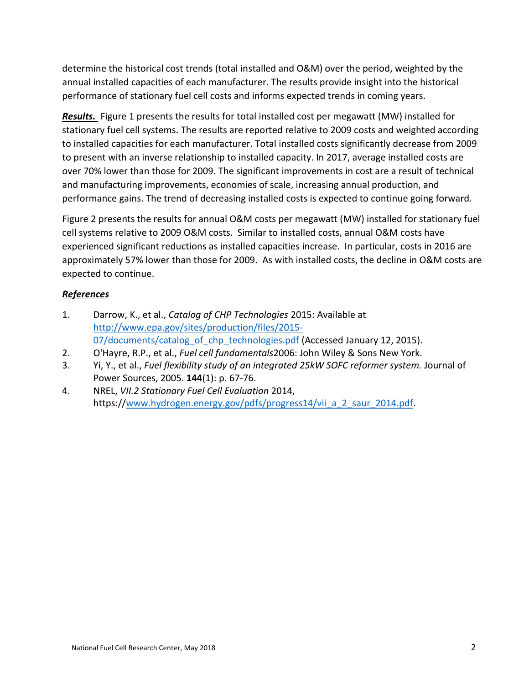determine the historical cost trends (total installed and O&M) over the period, weighted by the annual installed capacities of each manufacturer. The results provide insight into the historical performance of stationary fuel cell costs and informs expected trends in coming years.

*Results.* [Figure 1](#page-2-0) presents the results for total installed cost per megawatt (MW) installed for stationary fuel cell systems. The results are reported relative to 2009 costs and weighted according to installed capacities for each manufacturer. Total installed costs significantly decrease from 2009 to present with an inverse relationship to installed capacity. In 2017, average installed costs are over 70% lower than those for 2009. The significant improvements in cost are a result of technical and manufacturing improvements, economies of scale, increasing annual production, and performance gains. The trend of decreasing installed costs is expected to continue going forward.

[Figure 2](#page-2-1) presents the results for annual O&M costs per megawatt (MW) installed for stationary fuel cell systems relative to 2009 O&M costs. Similar to installed costs, annual O&M costs have experienced significant reductions as installed capacities increase. In particular, costs in 2016 are approximately 57% lower than those for 2009. As with installed costs, the decline in O&M costs are expected to continue.

## *References*

- 1. Darrow, K., et al., *Catalog of CHP Technologies* 2015: Available at [http://www.epa.gov/sites/production/files/2015-](http://www.epa.gov/sites/production/files/2015-07/documents/catalog_of_chp_technologies.pdf) [07/documents/catalog\\_of\\_chp\\_technologies.pdf](http://www.epa.gov/sites/production/files/2015-07/documents/catalog_of_chp_technologies.pdf) (Accessed January 12, 2015).
- 2. O'Hayre, R.P., et al., *Fuel cell fundamentals*2006: John Wiley & Sons New York.
- 3. Yi, Y., et al., *Fuel flexibility study of an integrated 25kW SOFC reformer system.* Journal of Power Sources, 2005. **144**(1): p. 67-76.
- 4. NREL, *VII.2 Stationary Fuel Cell Evaluation* 2014, https:/[/www.hydrogen.energy.gov/pdfs/progress14/vii\\_a\\_2\\_saur\\_2014.pdf.](http://www.hydrogen.energy.gov/pdfs/progress14/vii_a_2_saur_2014.pdf)